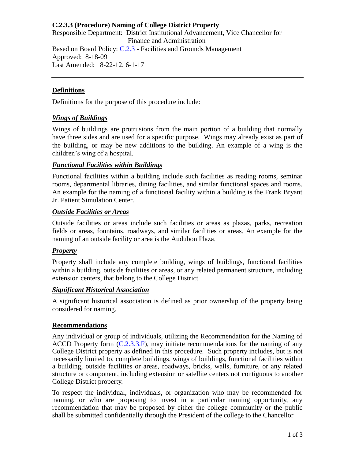# **C.2.3.3 (Procedure) Naming of College District Property**

Responsible Department: District Institutional Advancement, Vice Chancellor for Finance and Administration Based on Board Policy: [C.2.3](https://www.alamo.edu/siteassets/district/about-us/leadership/board-of-trustees/policies-pdfs/section-c/c.2.3-policy.pdf) - Facilities and Grounds Management Approved: 8-18-09 Last Amended: 8-22-12, 6-1-17

# **Definitions**

Definitions for the purpose of this procedure include:

### *Wings of Buildings*

Wings of buildings are protrusions from the main portion of a building that normally have three sides and are used for a specific purpose. Wings may already exist as part of the building, or may be new additions to the building. An example of a wing is the children's wing of a hospital.

# *Functional Facilities within Buildings*

Functional facilities within a building include such facilities as reading rooms, seminar rooms, departmental libraries, dining facilities, and similar functional spaces and rooms. An example for the naming of a functional facility within a building is the Frank Bryant Jr. Patient Simulation Center.

#### *Outside Facilities or Areas*

Outside facilities or areas include such facilities or areas as plazas, parks, recreation fields or areas, fountains, roadways, and similar facilities or areas. An example for the naming of an outside facility or area is the Audubon Plaza.

### *Property*

Property shall include any complete building, wings of buildings, functional facilities within a building, outside facilities or areas, or any related permanent structure, including extension centers, that belong to the College District.

### *Significant Historical Association*

A significant historical association is defined as prior ownership of the property being considered for naming.

### **Recommendations**

Any individual or group of individuals, utilizing the Recommendation for the Naming of ACCD Property form [\(C.2.3.3.F\)](https://www.alamo.edu/siteassets/district/about-us/leadership/board-of-trustees/policies-pdfs/section-c/c.2.3.3.f-form.pdf), may initiate recommendations for the naming of any College District property as defined in this procedure. Such property includes, but is not necessarily limited to, complete buildings, wings of buildings, functional facilities within a building, outside facilities or areas, roadways, bricks, walls, furniture, or any related structure or component, including extension or satellite centers not contiguous to another College District property.

To respect the individual, individuals, or organization who may be recommended for naming, or who are proposing to invest in a particular naming opportunity, any recommendation that may be proposed by either the college community or the public shall be submitted confidentially through the President of the college to the Chancellor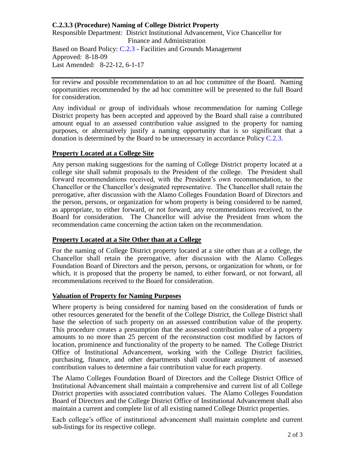# **C.2.3.3 (Procedure) Naming of College District Property**

Responsible Department: District Institutional Advancement, Vice Chancellor for Finance and Administration Based on Board Policy: [C.2.3](https://www.alamo.edu/siteassets/district/about-us/leadership/board-of-trustees/policies-pdfs/section-c/c.2.3-policy.pdf) - Facilities and Grounds Management Approved: 8-18-09 Last Amended: 8-22-12, 6-1-17

for review and possible recommendation to an ad hoc committee of the Board. Naming opportunities recommended by the ad hoc committee will be presented to the full Board for consideration.

Any individual or group of individuals whose recommendation for naming College District property has been accepted and approved by the Board shall raise a contributed amount equal to an assessed contribution value assigned to the property for naming purposes, or alternatively justify a naming opportunity that is so significant that a donation is determined by the Board to be unnecessary in accordance Policy [C.2.3.](https://www.alamo.edu/siteassets/district/about-us/leadership/board-of-trustees/policies-pdfs/section-c/c.2.3-policy.pdf)

### **Property Located at a College Site**

Any person making suggestions for the naming of College District property located at a college site shall submit proposals to the President of the college. The President shall forward recommendations received, with the President's own recommendation, to the Chancellor or the Chancellor's designated representative. The Chancellor shall retain the prerogative, after discussion with the Alamo Colleges Foundation Board of Directors and the person, persons, or organization for whom property is being considered to be named, as appropriate, to either forward, or not forward, any recommendations received, to the Board for consideration. The Chancellor will advise the President from whom the recommendation came concerning the action taken on the recommendation.

### **Property Located at a Site Other than at a College**

For the naming of College District property located at a site other than at a college, the Chancellor shall retain the prerogative, after discussion with the Alamo Colleges Foundation Board of Directors and the person, persons, or organization for whom, or for which, it is proposed that the property be named, to either forward, or not forward, all recommendations received to the Board for consideration.

### **Valuation of Property for Naming Purposes**

Where property is being considered for naming based on the consideration of funds or other resources generated for the benefit of the College District, the College District shall base the selection of such property on an assessed contribution value of the property. This procedure creates a presumption that the assessed contribution value of a property amounts to no more than 25 percent of the reconstruction cost modified by factors of location, prominence and functionality of the property to be named. The College District Office of Institutional Advancement, working with the College District facilities, purchasing, finance, and other departments shall coordinate assignment of assessed contribution values to determine a fair contribution value for each property.

The Alamo Colleges Foundation Board of Directors and the College District Office of Institutional Advancement shall maintain a comprehensive and current list of all College District properties with associated contribution values. The Alamo Colleges Foundation Board of Directors and the College District Office of Institutional Advancement shall also maintain a current and complete list of all existing named College District properties.

Each college's office of institutional advancement shall maintain complete and current sub-listings for its respective college.